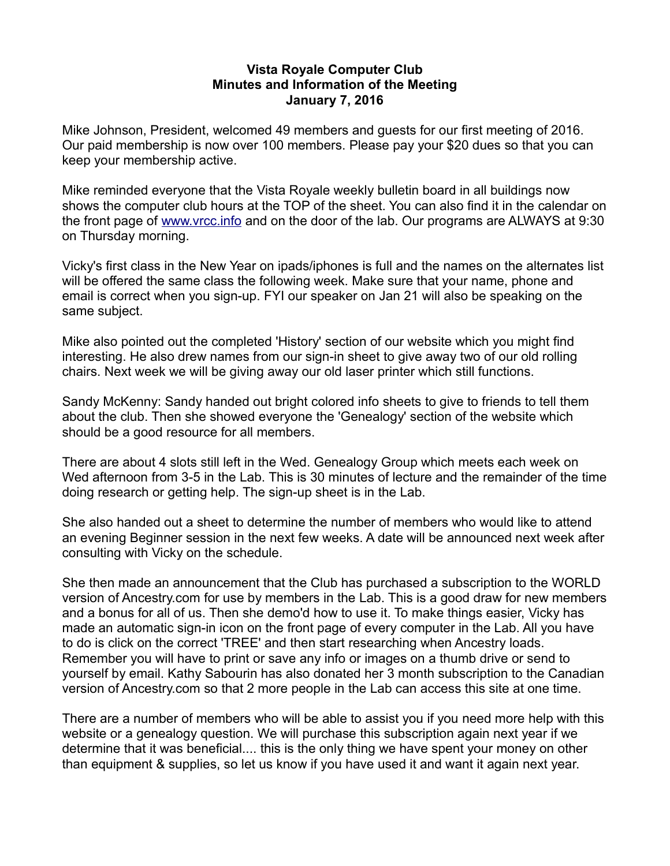### **Vista Royale Computer Club Minutes and Information of the Meeting January 7, 2016**

Mike Johnson, President, welcomed 49 members and guests for our first meeting of 2016. Our paid membership is now over 100 members. Please pay your \$20 dues so that you can keep your membership active.

Mike reminded everyone that the Vista Royale weekly bulletin board in all buildings now shows the computer club hours at the TOP of the sheet. You can also find it in the calendar on the front page of [www.vrcc.info](http://www.vrcc.info/) and on the door of the lab. Our programs are ALWAYS at 9:30 on Thursday morning.

Vicky's first class in the New Year on ipads/iphones is full and the names on the alternates list will be offered the same class the following week. Make sure that your name, phone and email is correct when you sign-up. FYI our speaker on Jan 21 will also be speaking on the same subject.

Mike also pointed out the completed 'History' section of our website which you might find interesting. He also drew names from our sign-in sheet to give away two of our old rolling chairs. Next week we will be giving away our old laser printer which still functions.

Sandy McKenny: Sandy handed out bright colored info sheets to give to friends to tell them about the club. Then she showed everyone the 'Genealogy' section of the website which should be a good resource for all members.

There are about 4 slots still left in the Wed. Genealogy Group which meets each week on Wed afternoon from 3-5 in the Lab. This is 30 minutes of lecture and the remainder of the time doing research or getting help. The sign-up sheet is in the Lab.

She also handed out a sheet to determine the number of members who would like to attend an evening Beginner session in the next few weeks. A date will be announced next week after consulting with Vicky on the schedule.

She then made an announcement that the Club has purchased a subscription to the WORLD version of Ancestry.com for use by members in the Lab. This is a good draw for new members and a bonus for all of us. Then she demo'd how to use it. To make things easier, Vicky has made an automatic sign-in icon on the front page of every computer in the Lab. All you have to do is click on the correct 'TREE' and then start researching when Ancestry loads. Remember you will have to print or save any info or images on a thumb drive or send to yourself by email. Kathy Sabourin has also donated her 3 month subscription to the Canadian version of Ancestry.com so that 2 more people in the Lab can access this site at one time.

There are a number of members who will be able to assist you if you need more help with this website or a genealogy question. We will purchase this subscription again next year if we determine that it was beneficial.... this is the only thing we have spent your money on other than equipment & supplies, so let us know if you have used it and want it again next year.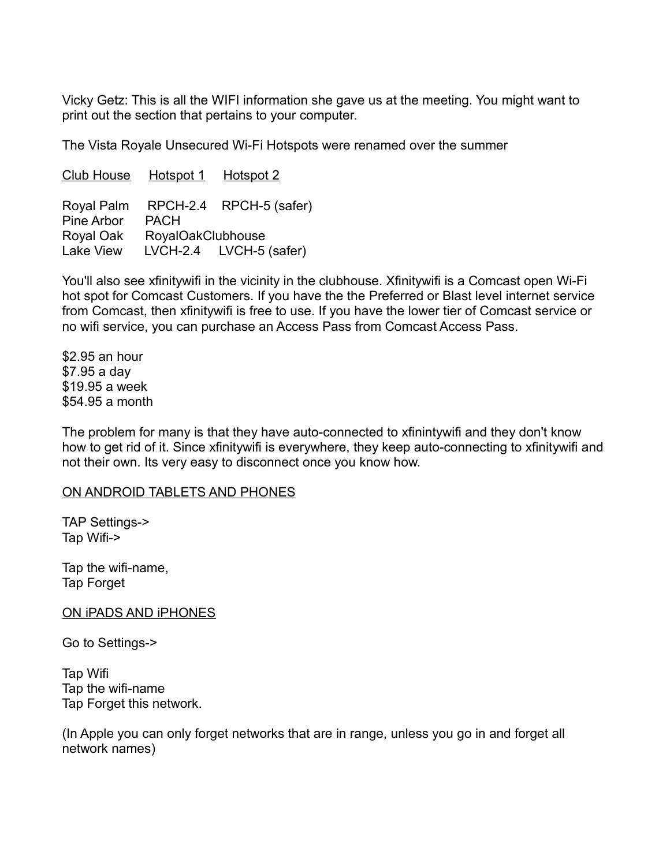Vicky Getz: This is all the WIFI information she gave us at the meeting. You might want to print out the section that pertains to your computer.

The Vista Royale Unsecured Wi-Fi Hotspots were renamed over the summer

Club House Hotspot 1 Hotspot 2 Royal Palm RPCH-2.4 RPCH-5 (safer) Pine Arbor PACH Royal Oak RoyalOakClubhouse Lake View LVCH-2.4 LVCH-5 (safer)

You'll also see xfinitywifi in the vicinity in the clubhouse. Xfinitywifi is a Comcast open Wi-Fi hot spot for Comcast Customers. If you have the the Preferred or Blast level internet service from Comcast, then xfinitywifi is free to use. If you have the lower tier of Comcast service or no wifi service, you can purchase an Access Pass from Comcast Access Pass.

\$2.95 an hour \$7.95 a day \$19.95 a week \$54.95 a month

The problem for many is that they have auto-connected to xfinintywifi and they don't know how to get rid of it. Since xfinitywifi is everywhere, they keep auto-connecting to xfinitywifi and not their own. Its very easy to disconnect once you know how.

# ON ANDROID TABLETS AND PHONES

TAP Settings-> Tap Wifi->

Tap the wifi-name, Tap Forget

ON iPADS AND iPHONES

Go to Settings->

Tap Wifi Tap the wifi-name Tap Forget this network.

(In Apple you can only forget networks that are in range, unless you go in and forget all network names)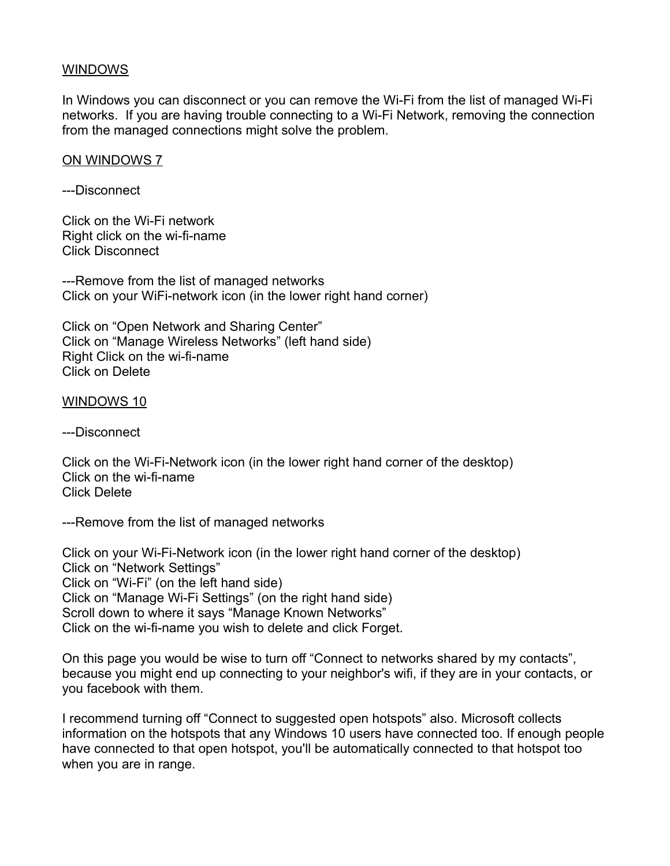### **WINDOWS**

In Windows you can disconnect or you can remove the Wi-Fi from the list of managed Wi-Fi networks. If you are having trouble connecting to a Wi-Fi Network, removing the connection from the managed connections might solve the problem.

### ON WINDOWS 7

---Disconnect

Click on the Wi-Fi network Right click on the wi-fi-name Click Disconnect

---Remove from the list of managed networks Click on your WiFi-network icon (in the lower right hand corner)

Click on "Open Network and Sharing Center" Click on "Manage Wireless Networks" (left hand side) Right Click on the wi-fi-name Click on Delete

WINDOWS 10

---Disconnect

Click on the Wi-Fi-Network icon (in the lower right hand corner of the desktop) Click on the wi-fi-name Click Delete

---Remove from the list of managed networks

Click on your Wi-Fi-Network icon (in the lower right hand corner of the desktop) Click on "Network Settings" Click on "Wi-Fi" (on the left hand side) Click on "Manage Wi-Fi Settings" (on the right hand side) Scroll down to where it says "Manage Known Networks" Click on the wi-fi-name you wish to delete and click Forget.

On this page you would be wise to turn off "Connect to networks shared by my contacts", because you might end up connecting to your neighbor's wifi, if they are in your contacts, or you facebook with them.

I recommend turning off "Connect to suggested open hotspots" also. Microsoft collects information on the hotspots that any Windows 10 users have connected too. If enough people have connected to that open hotspot, you'll be automatically connected to that hotspot too when you are in range.